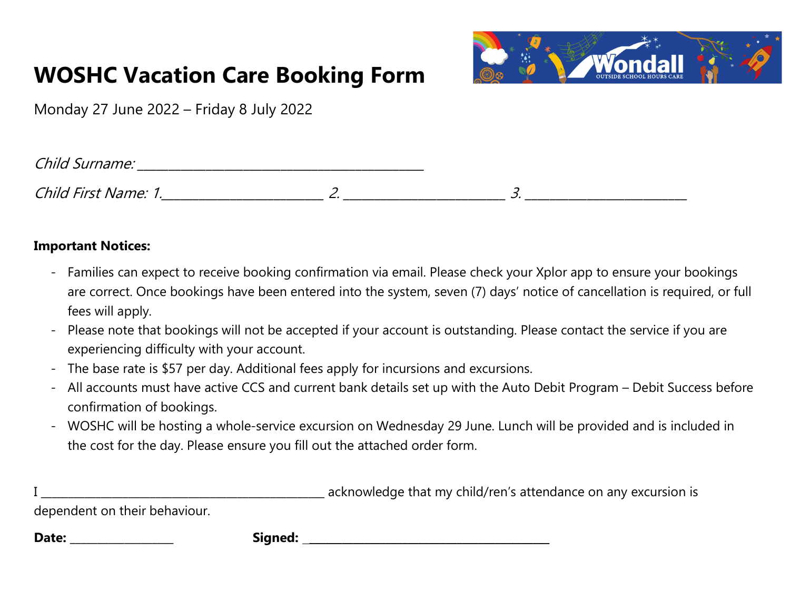### WOSHC Vacation Care Booking Form



Monday 27 June 2022 – Friday 8 July 2022

| Child Surname: |  |
|----------------|--|
|                |  |

Child First Name: 1.\_\_\_\_\_\_\_\_\_\_\_\_\_\_\_\_\_\_\_\_\_\_\_\_\_\_ 2. \_\_\_\_\_\_\_\_\_\_\_\_\_\_\_\_\_\_\_\_\_\_\_\_\_\_ 3. \_\_\_\_\_\_\_\_\_\_\_\_\_\_\_\_\_\_\_\_\_\_\_\_\_\_

#### Important Notices:

- Families can expect to receive booking confirmation via email. Please check your Xplor app to ensure your bookings are correct. Once bookings have been entered into the system, seven (7) days' notice of cancellation is required, or full fees will apply.
- Please note that bookings will not be accepted if your account is outstanding. Please contact the service if you are experiencing difficulty with your account.
- The base rate is \$57 per day. Additional fees apply for incursions and excursions.
- All accounts must have active CCS and current bank details set up with the Auto Debit Program Debit Success before confirmation of bookings.
- WOSHC will be hosting a whole-service excursion on Wednesday 29 June. Lunch will be provided and is included in the cost for the day. Please ensure you fill out the attached order form.

In acknowledge that my child/ren's attendance on any excursion is

dependent on their behaviour.

Date: \_\_\_\_\_\_\_\_\_\_\_\_\_\_\_\_\_\_\_ Signed: \_\_\_\_\_\_\_\_\_\_\_\_\_\_\_\_\_\_\_\_\_\_\_\_\_\_\_\_\_\_\_\_\_\_\_\_\_\_\_\_\_\_\_\_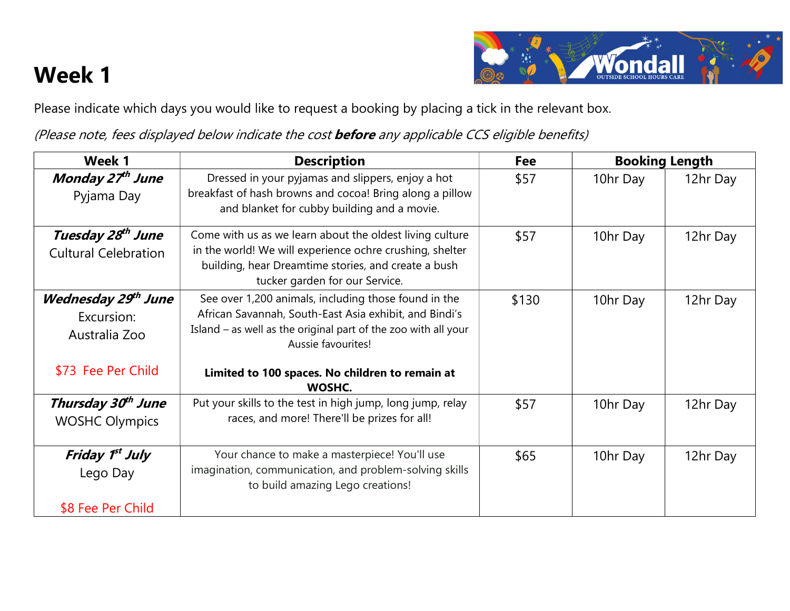# Week 1



Please indicate which days you would like to request a booking by placing a tick in the relevant box.

(Please note, fees displayed below indicate the cost before any applicable CCS eligible benefits)

| Week 1                                                                   | <b>Description</b>                                                                                                                                                                                                                                        | <b>Fee</b> | <b>Booking Length</b> |          |
|--------------------------------------------------------------------------|-----------------------------------------------------------------------------------------------------------------------------------------------------------------------------------------------------------------------------------------------------------|------------|-----------------------|----------|
| Monday 27th June<br>Pyjama Day                                           | Dressed in your pyjamas and slippers, enjoy a hot<br>breakfast of hash browns and cocoal Bring along a pillow<br>and blanket for cubby building and a movie.                                                                                              | \$57       | 10hr Day              | 12hr Day |
| Tuesday 28 <sup>th</sup> June<br><b>Cultural Celebration</b>             | Come with us as we learn about the oldest living culture<br>in the world! We will experience ochre crushing, shelter<br>building, hear Dreamtime stories, and create a bush<br>tucker garden for our Service.                                             | \$57       | 10hr Day              | 12hr Day |
| Wednesday 29th June<br>Excursion:<br>Australia Zoo<br>\$73 Fee Per Child | See over 1,200 animals, including those found in the<br>African Savannah, South-East Asia exhibit, and Bindi's<br>Island - as well as the original part of the zoo with all your<br>Aussie favourites!<br>Limited to 100 spaces. No children to remain at | \$130      | 10hr Day              | 12hr Day |
| Thursday 30th June<br><b>WOSHC Olympics</b>                              | WOSHC.<br>Put your skills to the test in high jump, long jump, relay<br>races, and more! There'll be prizes for all!                                                                                                                                      | \$57       | 10hr Day              | 12hr Day |
| Friday 1 <sup>st</sup> July<br>Lego Day<br>\$8 Fee Per Child             | Your chance to make a masterpiece! You'll use<br>imagination, communication, and problem-solving skills<br>to build amazing Lego creations!                                                                                                               | \$65       | 10hr Day              | 12hr Day |
|                                                                          |                                                                                                                                                                                                                                                           |            |                       |          |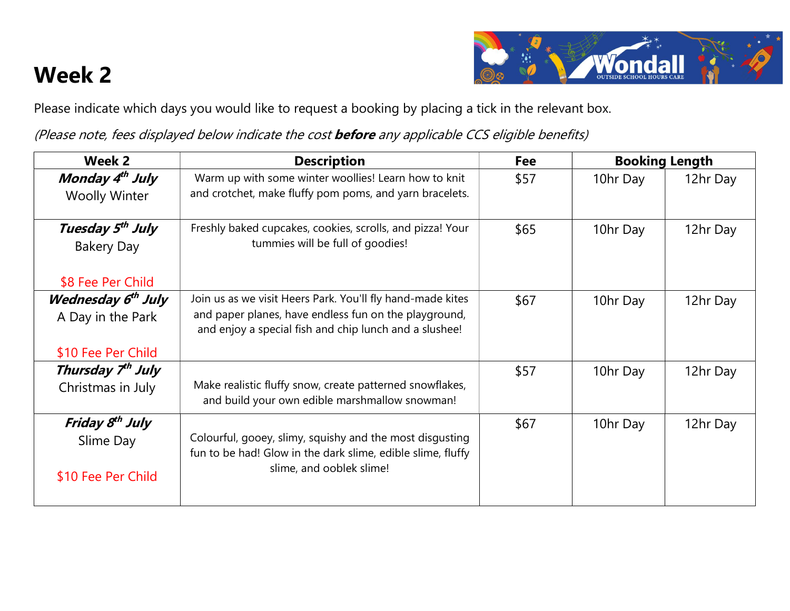## Week 2



Please indicate which days you would like to request a booking by placing a tick in the relevant box.

(Please note, fees displayed below indicate the cost before any applicable CCS eligible benefits)

| Week 2                                                                    | <b>Description</b>                                                                                                                                                            | <b>Fee</b> | <b>Booking Length</b> |          |
|---------------------------------------------------------------------------|-------------------------------------------------------------------------------------------------------------------------------------------------------------------------------|------------|-----------------------|----------|
| Monday 4 <sup>th</sup> July<br><b>Woolly Winter</b>                       | Warm up with some winter woollies! Learn how to knit<br>and crotchet, make fluffy pom poms, and yarn bracelets.                                                               | \$57       | 10hr Day              | 12hr Day |
| Tuesday 5 <sup>th</sup> July<br><b>Bakery Day</b><br>\$8 Fee Per Child    | Freshly baked cupcakes, cookies, scrolls, and pizza! Your<br>tummies will be full of goodies!                                                                                 | \$65       | 10hr Day              | 12hr Day |
| Wednesday 6 <sup>th</sup> July<br>A Day in the Park<br>\$10 Fee Per Child | Join us as we visit Heers Park. You'll fly hand-made kites<br>and paper planes, have endless fun on the playground,<br>and enjoy a special fish and chip lunch and a slushee! | \$67       | 10hr Day              | 12hr Day |
| Thursday 7 <sup>th</sup> July<br>Christmas in July                        | Make realistic fluffy snow, create patterned snowflakes,<br>and build your own edible marshmallow snowman!                                                                    | \$57       | 10hr Day              | 12hr Day |
| Friday 8 <sup>th</sup> July<br>Slime Day<br>\$10 Fee Per Child            | Colourful, gooey, slimy, squishy and the most disgusting<br>fun to be had! Glow in the dark slime, edible slime, fluffy<br>slime, and ooblek slime!                           | \$67       | 10hr Day              | 12hr Day |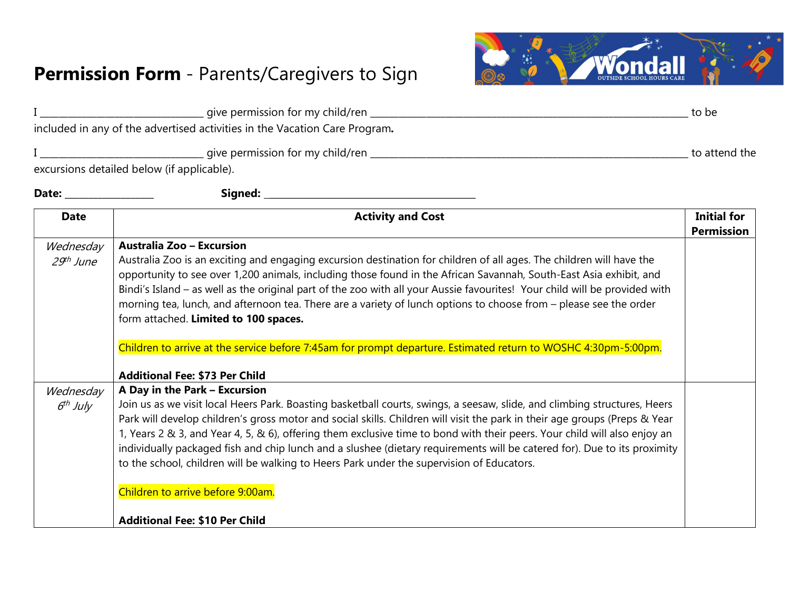#### Permission Form - Parents/Caregivers to Sign



|                                                                                                                                                                                                                                                                                                                                                                                                                                                                                                                                                                                                                                                                                     | to be                                                                                                                                                                                                                                          |  |
|-------------------------------------------------------------------------------------------------------------------------------------------------------------------------------------------------------------------------------------------------------------------------------------------------------------------------------------------------------------------------------------------------------------------------------------------------------------------------------------------------------------------------------------------------------------------------------------------------------------------------------------------------------------------------------------|------------------------------------------------------------------------------------------------------------------------------------------------------------------------------------------------------------------------------------------------|--|
|                                                                                                                                                                                                                                                                                                                                                                                                                                                                                                                                                                                                                                                                                     |                                                                                                                                                                                                                                                |  |
|                                                                                                                                                                                                                                                                                                                                                                                                                                                                                                                                                                                                                                                                                     |                                                                                                                                                                                                                                                |  |
|                                                                                                                                                                                                                                                                                                                                                                                                                                                                                                                                                                                                                                                                                     |                                                                                                                                                                                                                                                |  |
|                                                                                                                                                                                                                                                                                                                                                                                                                                                                                                                                                                                                                                                                                     |                                                                                                                                                                                                                                                |  |
| <b>Activity and Cost</b>                                                                                                                                                                                                                                                                                                                                                                                                                                                                                                                                                                                                                                                            | <b>Initial for</b><br><b>Permission</b>                                                                                                                                                                                                        |  |
| Australia Zoo is an exciting and engaging excursion destination for children of all ages. The children will have the<br>opportunity to see over 1,200 animals, including those found in the African Savannah, South-East Asia exhibit, and<br>Bindi's Island - as well as the original part of the zoo with all your Aussie favourites! Your child will be provided with<br>morning tea, lunch, and afternoon tea. There are a variety of lunch options to choose from - please see the order<br>form attached. Limited to 100 spaces.<br>Children to arrive at the service before 7:45am for prompt departure. Estimated return to WOSHC 4:30pm-5:00pm.                            |                                                                                                                                                                                                                                                |  |
| A Day in the Park - Excursion<br>Join us as we visit local Heers Park. Boasting basketball courts, swings, a seesaw, slide, and climbing structures, Heers<br>Park will develop children's gross motor and social skills. Children will visit the park in their age groups (Preps & Year<br>1, Years 2 & 3, and Year 4, 5, & 6), offering them exclusive time to bond with their peers. Your child will also enjoy an<br>individually packaged fish and chip lunch and a slushee (dietary requirements will be catered for). Due to its proximity<br>to the school, children will be walking to Heers Park under the supervision of Educators.<br>Children to arrive before 9:00am. |                                                                                                                                                                                                                                                |  |
|                                                                                                                                                                                                                                                                                                                                                                                                                                                                                                                                                                                                                                                                                     | included in any of the advertised activities in the Vacation Care Program.<br>excursions detailed below (if applicable).<br><b>Australia Zoo - Excursion</b><br><b>Additional Fee: \$73 Per Child</b><br><b>Additional Fee: \$10 Per Child</b> |  |